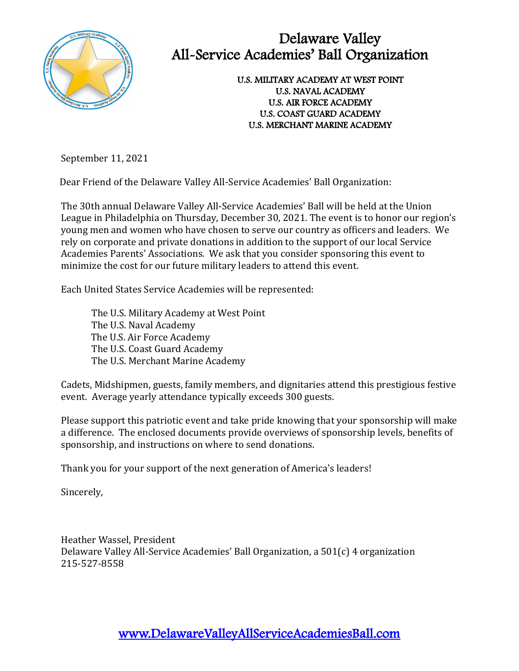

#### Delaware Valley All-Service Academies' Ball Organization

U.S. MILITARY ACADEMY AT WEST POINT U.S. NAVAL ACADEMY U.S. AIR FORCE ACADEMY U.S. COAST GUARD ACADEMY U.S. MERCHANT MARINE ACADEMY

September 11, 2021

Dear Friend of the Delaware Valley All-Service Academies' Ball Organization:

The 30th annual Delaware Valley All-Service Academies' Ball will be held at the Union League in Philadelphia on Thursday, December 30, 2021. The event is to honor our region's young men and women who have chosen to serve our country as officers and leaders. We rely on corporate and private donations in addition to the support of our local Service Academies Parents' Associations. We ask that you consider sponsoring this event to minimize the cost for our future military leaders to attend this event.

Each United States Service Academies will be represented:

The U.S. Military Academy at West Point The U.S. Naval Academy The U.S. Air Force Academy The U.S. Coast Guard Academy The U.S. Merchant Marine Academy

Cadets, Midshipmen, guests, family members, and dignitaries attend this prestigious festive event. Average yearly attendance typically exceeds 300 guests.

Please support this patriotic event and take pride knowing that your sponsorship will make a difference. The enclosed documents provide overviews of sponsorship levels, benefits of sponsorship, and instructions on where to send donations.

Thank you for your support of the next generation of America's leaders!

Sincerely,

Heather Wassel, President Delaware Valley All-Service Academies' Ball Organization, a 501(c) 4 organization 215-527-8558